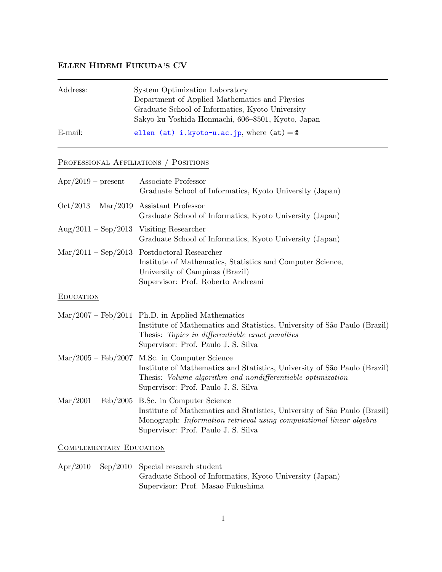# ELLEN HIDEMI FUKUDA'S CV

| Address:   | System Optimization Laboratory                    |
|------------|---------------------------------------------------|
|            | Department of Applied Mathematics and Physics     |
|            | Graduate School of Informatics, Kyoto University  |
|            | Sakyo-ku Yoshida Honmachi, 606-8501, Kyoto, Japan |
| $E$ -mail: | ellen (at) i.kyoto-u.ac.jp, where $(at) = 0$      |

## Professional Affiliations / Positions

| $Apr/2019$ – present                                    | Associate Professor<br>Graduate School of Informatics, Kyoto University (Japan)                                                                                                                                                          |
|---------------------------------------------------------|------------------------------------------------------------------------------------------------------------------------------------------------------------------------------------------------------------------------------------------|
| $Oct/2013 - Mar/2019$ Assistant Professor               | Graduate School of Informatics, Kyoto University (Japan)                                                                                                                                                                                 |
| $\text{Aug}/2011 - \text{Sep}/2013$ Visiting Researcher | Graduate School of Informatics, Kyoto University (Japan)                                                                                                                                                                                 |
| $\text{Mar}/2011 - \text{Sep}/2013$                     | Postdoctoral Researcher<br>Institute of Mathematics, Statistics and Computer Science,<br>University of Campinas (Brazil)<br>Supervisor: Prof. Roberto Andreani                                                                           |
| <b>EDUCATION</b>                                        |                                                                                                                                                                                                                                          |
|                                                         | $\text{Mar}/2007 - \text{Feb}/2011$ Ph.D. in Applied Mathematics<br>Institute of Mathematics and Statistics, University of São Paulo (Brazil)<br>Thesis: Topics in differentiable exact penalties<br>Supervisor: Prof. Paulo J. S. Silva |
| $\text{Mar}/2005 - \text{Feb}/2007$                     | M.Sc. in Computer Science<br>Institute of Mathematics and Statistics, University of São Paulo (Brazil)<br>Thesis: Volume algorithm and nondifferentiable optimization<br>Supervisor: Prof. Paulo J. S. Silva                             |
| $\text{Mar}/2001 - \text{Feb}/2005$                     | B.Sc. in Computer Science<br>Institute of Mathematics and Statistics, University of São Paulo (Brazil)<br>Monograph: Information retrieval using computational linear algebra<br>Supervisor: Prof. Paulo J. S. Silva                     |

COMPLEMENTARY EDUCATION

Apr/2010 – Sep/2010 Special research student Graduate School of Informatics, Kyoto University (Japan) Supervisor: Prof. Masao Fukushima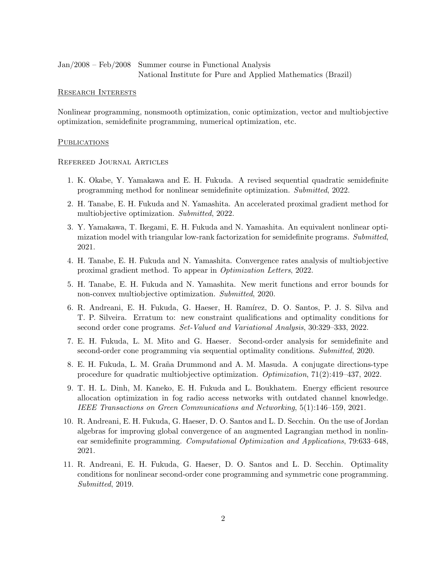Jan/2008 – Feb/2008 Summer course in Functional Analysis National Institute for Pure and Applied Mathematics (Brazil)

### Research Interests

Nonlinear programming, nonsmooth optimization, conic optimization, vector and multiobjective optimization, semidefinite programming, numerical optimization, etc.

#### **PUBLICATIONS**

### Refereed Journal Articles

- 1. K. Okabe, Y. Yamakawa and E. H. Fukuda. A revised sequential quadratic semidefinite programming method for nonlinear semidefinite optimization. Submitted, 2022.
- 2. H. Tanabe, E. H. Fukuda and N. Yamashita. An accelerated proximal gradient method for multiobjective optimization. Submitted, 2022.
- 3. Y. Yamakawa, T. Ikegami, E. H. Fukuda and N. Yamashita. An equivalent nonlinear optimization model with triangular low-rank factorization for semidefinite programs. Submitted, 2021.
- 4. H. Tanabe, E. H. Fukuda and N. Yamashita. Convergence rates analysis of multiobjective proximal gradient method. To appear in Optimization Letters, 2022.
- 5. H. Tanabe, E. H. Fukuda and N. Yamashita. New merit functions and error bounds for non-convex multiobjective optimization. Submitted, 2020.
- 6. R. Andreani, E. H. Fukuda, G. Haeser, H. Ramírez, D. O. Santos, P. J. S. Silva and T. P. Silveira. Erratum to: new constraint qualifications and optimality conditions for second order cone programs. Set-Valued and Variational Analysis, 30:329–333, 2022.
- 7. E. H. Fukuda, L. M. Mito and G. Haeser. Second-order analysis for semidefinite and second-order cone programming via sequential optimality conditions. Submitted, 2020.
- 8. E. H. Fukuda, L. M. Graña Drummond and A. M. Masuda. A conjugate directions-type procedure for quadratic multiobjective optimization. Optimization, 71(2):419–437, 2022.
- 9. T. H. L. Dinh, M. Kaneko, E. H. Fukuda and L. Boukhatem. Energy efficient resource allocation optimization in fog radio access networks with outdated channel knowledge. IEEE Transactions on Green Communications and Networking, 5(1):146–159, 2021.
- 10. R. Andreani, E. H. Fukuda, G. Haeser, D. O. Santos and L. D. Secchin. On the use of Jordan algebras for improving global convergence of an augmented Lagrangian method in nonlinear semidefinite programming. Computational Optimization and Applications, 79:633–648, 2021.
- 11. R. Andreani, E. H. Fukuda, G. Haeser, D. O. Santos and L. D. Secchin. Optimality conditions for nonlinear second-order cone programming and symmetric cone programming. Submitted, 2019.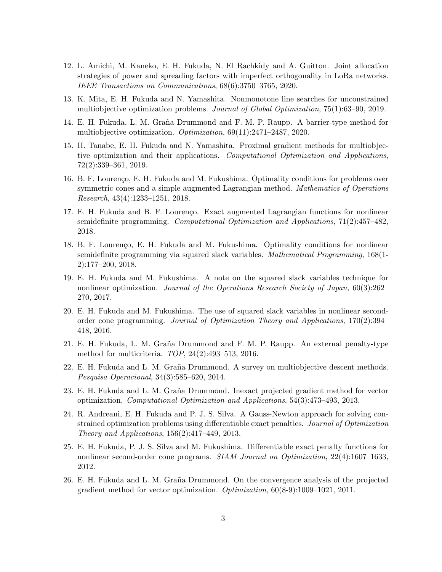- 12. L. Amichi, M. Kaneko, E. H. Fukuda, N. El Rachkidy and A. Guitton. Joint allocation strategies of power and spreading factors with imperfect orthogonality in LoRa networks. IEEE Transactions on Communications, 68(6):3750–3765, 2020.
- 13. K. Mita, E. H. Fukuda and N. Yamashita. Nonmonotone line searches for unconstrained multiobjective optimization problems. Journal of Global Optimization, 75(1):63–90, 2019.
- 14. E. H. Fukuda, L. M. Graña Drummond and F. M. P. Raupp. A barrier-type method for multiobjective optimization. Optimization, 69(11):2471–2487, 2020.
- 15. H. Tanabe, E. H. Fukuda and N. Yamashita. Proximal gradient methods for multiobjective optimization and their applications. Computational Optimization and Applications, 72(2):339–361, 2019.
- 16. B. F. Lourenço, E. H. Fukuda and M. Fukushima. Optimality conditions for problems over symmetric cones and a simple augmented Lagrangian method. Mathematics of Operations Research, 43(4):1233–1251, 2018.
- 17. E. H. Fukuda and B. F. Lourenço. Exact augmented Lagrangian functions for nonlinear semidefinite programming. Computational Optimization and Applications, 71(2):457–482, 2018.
- 18. B. F. Lourenço, E. H. Fukuda and M. Fukushima. Optimality conditions for nonlinear semidefinite programming via squared slack variables. Mathematical Programming, 168(1- 2):177–200, 2018.
- 19. E. H. Fukuda and M. Fukushima. A note on the squared slack variables technique for nonlinear optimization. Journal of the Operations Research Society of Japan, 60(3):262– 270, 2017.
- 20. E. H. Fukuda and M. Fukushima. The use of squared slack variables in nonlinear secondorder cone programming. Journal of Optimization Theory and Applications, 170(2):394– 418, 2016.
- 21. E. H. Fukuda, L. M. Graña Drummond and F. M. P. Raupp. An external penalty-type method for multicriteria. TOP, 24(2):493–513, 2016.
- 22. E. H. Fukuda and L. M. Graña Drummond. A survey on multiobjective descent methods. Pesquisa Operacional, 34(3):585–620, 2014.
- 23. E. H. Fukuda and L. M. Graña Drummond. Inexact projected gradient method for vector optimization. Computational Optimization and Applications, 54(3):473–493, 2013.
- 24. R. Andreani, E. H. Fukuda and P. J. S. Silva. A Gauss-Newton approach for solving constrained optimization problems using differentiable exact penalties. Journal of Optimization Theory and Applications, 156(2):417–449, 2013.
- 25. E. H. Fukuda, P. J. S. Silva and M. Fukushima. Differentiable exact penalty functions for nonlinear second-order cone programs. SIAM Journal on Optimization, 22(4):1607–1633, 2012.
- 26. E. H. Fukuda and L. M. Graña Drummond. On the convergence analysis of the projected gradient method for vector optimization. Optimization, 60(8-9):1009–1021, 2011.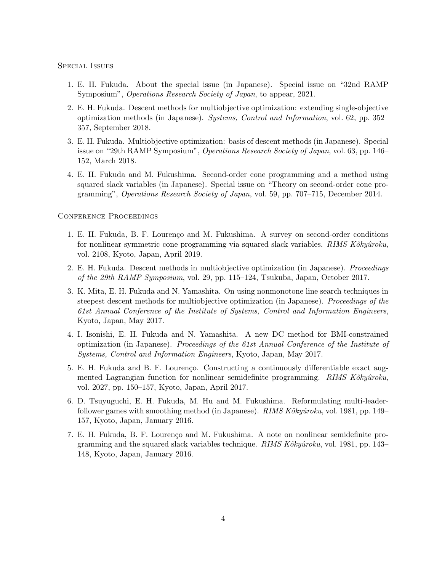Special Issues

- 1. E. H. Fukuda. About the special issue (in Japanese). Special issue on "32nd RAMP Symposium", Operations Research Society of Japan, to appear, 2021.
- 2. E. H. Fukuda. Descent methods for multiobjective optimization: extending single-objective optimization methods (in Japanese). Systems, Control and Information, vol. 62, pp. 352– 357, September 2018.
- 3. E. H. Fukuda. Multiobjective optimization: basis of descent methods (in Japanese). Special issue on "29th RAMP Symposium", Operations Research Society of Japan, vol. 63, pp. 146– 152, March 2018.
- 4. E. H. Fukuda and M. Fukushima. Second-order cone programming and a method using squared slack variables (in Japanese). Special issue on "Theory on second-order cone programming", Operations Research Society of Japan, vol. 59, pp. 707–715, December 2014.

Conference Proceedings

- 1. E. H. Fukuda, B. F. Lourenço and M. Fukushima. A survey on second-order conditions for nonlinear symmetric cone programming via squared slack variables.  $RIMS\ Kóky\hat{u}roku$ , vol. 2108, Kyoto, Japan, April 2019.
- 2. E. H. Fukuda. Descent methods in multiobjective optimization (in Japanese). Proceedings of the 29th RAMP Symposium, vol. 29, pp. 115–124, Tsukuba, Japan, October 2017.
- 3. K. Mita, E. H. Fukuda and N. Yamashita. On using nonmonotone line search techniques in steepest descent methods for multiobjective optimization (in Japanese). Proceedings of the 61st Annual Conference of the Institute of Systems, Control and Information Engineers, Kyoto, Japan, May 2017.
- 4. I. Isonishi, E. H. Fukuda and N. Yamashita. A new DC method for BMI-constrained optimization (in Japanese). Proceedings of the 61st Annual Conference of the Institute of Systems, Control and Information Engineers, Kyoto, Japan, May 2017.
- 5. E. H. Fukuda and B. F. Lourenço. Constructing a continuously differentiable exact augmented Lagrangian function for nonlinear semidefinite programming. RIMS Kôkyûroku, vol. 2027, pp. 150–157, Kyoto, Japan, April 2017.
- 6. D. Tsuyuguchi, E. H. Fukuda, M. Hu and M. Fukushima. Reformulating multi-leaderfollower games with smoothing method (in Japanese). RIMS  $Kôky\hat{u}roku$ , vol. 1981, pp. 149– 157, Kyoto, Japan, January 2016.
- 7. E. H. Fukuda, B. F. Lourenço and M. Fukushima. A note on nonlinear semidefinite programming and the squared slack variables technique. RIMS  $Kôky\hat{u}roku$ , vol. 1981, pp. 143– 148, Kyoto, Japan, January 2016.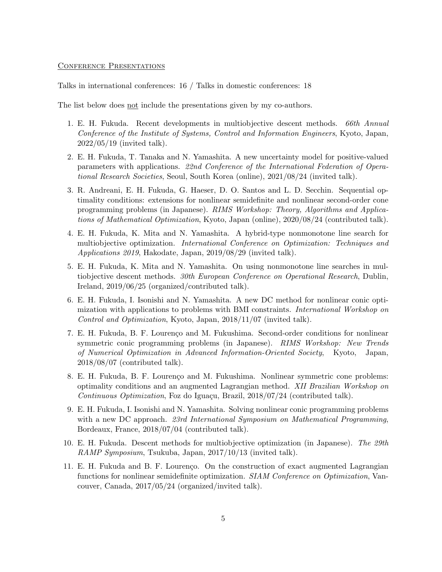#### Conference Presentations

Talks in international conferences: 16 / Talks in domestic conferences: 18

The list below does not include the presentations given by my co-authors.

- 1. E. H. Fukuda. Recent developments in multiobjective descent methods. 66th Annual Conference of the Institute of Systems, Control and Information Engineers, Kyoto, Japan, 2022/05/19 (invited talk).
- 2. E. H. Fukuda, T. Tanaka and N. Yamashita. A new uncertainty model for positive-valued parameters with applications. 22nd Conference of the International Federation of Operational Research Societies, Seoul, South Korea (online), 2021/08/24 (invited talk).
- 3. R. Andreani, E. H. Fukuda, G. Haeser, D. O. Santos and L. D. Secchin. Sequential optimality conditions: extensions for nonlinear semidefinite and nonlinear second-order cone programming problems (in Japanese). RIMS Workshop: Theory, Algorithms and Applications of Mathematical Optimization, Kyoto, Japan (online), 2020/08/24 (contributed talk).
- 4. E. H. Fukuda, K. Mita and N. Yamashita. A hybrid-type nonmonotone line search for multiobjective optimization. International Conference on Optimization: Techniques and Applications 2019, Hakodate, Japan, 2019/08/29 (invited talk).
- 5. E. H. Fukuda, K. Mita and N. Yamashita. On using nonmonotone line searches in multiobjective descent methods. 30th European Conference on Operational Research, Dublin, Ireland, 2019/06/25 (organized/contributed talk).
- 6. E. H. Fukuda, I. Isonishi and N. Yamashita. A new DC method for nonlinear conic optimization with applications to problems with BMI constraints. International Workshop on Control and Optimization, Kyoto, Japan, 2018/11/07 (invited talk).
- 7. E. H. Fukuda, B. F. Lourenço and M. Fukushima. Second-order conditions for nonlinear symmetric conic programming problems (in Japanese). RIMS Workshop: New Trends of Numerical Optimization in Advanced Information-Oriented Society, Kyoto, Japan, 2018/08/07 (contributed talk).
- 8. E. H. Fukuda, B. F. Lourenço and M. Fukushima. Nonlinear symmetric cone problems: optimality conditions and an augmented Lagrangian method. XII Brazilian Workshop on Continuous Optimization, Foz do Iguaçu, Brazil, 2018/07/24 (contributed talk).
- 9. E. H. Fukuda, I. Isonishi and N. Yamashita. Solving nonlinear conic programming problems with a new DC approach. 23rd International Symposium on Mathematical Programming, Bordeaux, France, 2018/07/04 (contributed talk).
- 10. E. H. Fukuda. Descent methods for multiobjective optimization (in Japanese). The 29th RAMP Symposium, Tsukuba, Japan, 2017/10/13 (invited talk).
- 11. E. H. Fukuda and B. F. Lourenço. On the construction of exact augmented Lagrangian functions for nonlinear semidefinite optimization. SIAM Conference on Optimization, Vancouver, Canada, 2017/05/24 (organized/invited talk).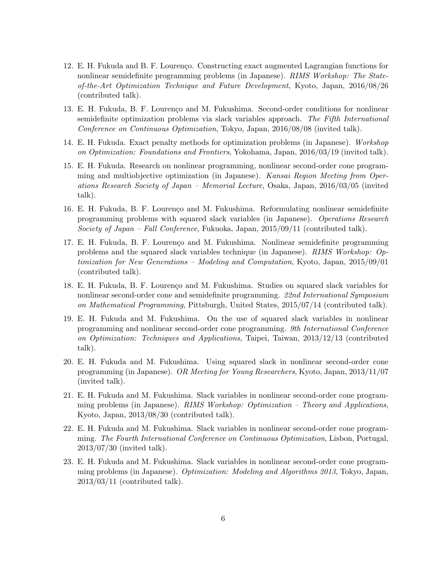- 12. E. H. Fukuda and B. F. Lourenço. Constructing exact augmented Lagrangian functions for nonlinear semidefinite programming problems (in Japanese). RIMS Workshop: The Stateof-the-Art Optimization Technique and Future Development, Kyoto, Japan, 2016/08/26 (contributed talk).
- 13. E. H. Fukuda, B. F. Lourenço and M. Fukushima. Second-order conditions for nonlinear semidefinite optimization problems via slack variables approach. The Fifth International Conference on Continuous Optimization, Tokyo, Japan, 2016/08/08 (invited talk).
- 14. E. H. Fukuda. Exact penalty methods for optimization problems (in Japanese). Workshop on Optimization: Foundations and Frontiers, Yokohama, Japan, 2016/03/19 (invited talk).
- 15. E. H. Fukuda. Research on nonlinear programming, nonlinear second-order cone programming and multiobjective optimization (in Japanese). Kansai Region Meeting from Operations Research Society of Japan – Memorial Lecture, Osaka, Japan, 2016/03/05 (invited talk).
- 16. E. H. Fukuda, B. F. Lourenço and M. Fukushima. Reformulating nonlinear semidefinite programming problems with squared slack variables (in Japanese). Operations Research Society of Japan – Fall Conference, Fukuoka, Japan,  $2015/09/11$  (contributed talk).
- 17. E. H. Fukuda, B. F. Lourenço and M. Fukushima. Nonlinear semidefinite programming problems and the squared slack variables technique (in Japanese). RIMS Workshop: Optimization for New Generations – Modeling and Computation, Kyoto, Japan, 2015/09/01 (contributed talk).
- 18. E. H. Fukuda, B. F. Lourenço and M. Fukushima. Studies on squared slack variables for nonlinear second-order cone and semidefinite programming. 22nd International Symposium on Mathematical Programming, Pittsburgh, United States, 2015/07/14 (contributed talk).
- 19. E. H. Fukuda and M. Fukushima. On the use of squared slack variables in nonlinear programming and nonlinear second-order cone programming. 9th International Conference on Optimization: Techniques and Applications, Taipei, Taiwan, 2013/12/13 (contributed talk).
- 20. E. H. Fukuda and M. Fukushima. Using squared slack in nonlinear second-order cone programming (in Japanese). OR Meeting for Young Researchers, Kyoto, Japan, 2013/11/07 (invited talk).
- 21. E. H. Fukuda and M. Fukushima. Slack variables in nonlinear second-order cone programming problems (in Japanese). RIMS Workshop: Optimization – Theory and Applications, Kyoto, Japan, 2013/08/30 (contributed talk).
- 22. E. H. Fukuda and M. Fukushima. Slack variables in nonlinear second-order cone programming. The Fourth International Conference on Continuous Optimization, Lisbon, Portugal, 2013/07/30 (invited talk).
- 23. E. H. Fukuda and M. Fukushima. Slack variables in nonlinear second-order cone programming problems (in Japanese). Optimization: Modeling and Algorithms 2013, Tokyo, Japan, 2013/03/11 (contributed talk).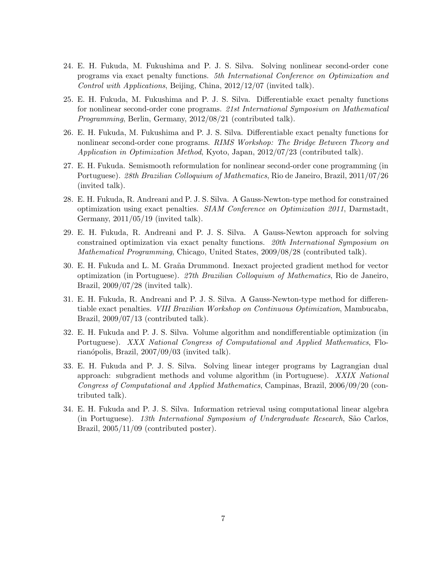- 24. E. H. Fukuda, M. Fukushima and P. J. S. Silva. Solving nonlinear second-order cone programs via exact penalty functions. 5th International Conference on Optimization and Control with Applications, Beijing, China, 2012/12/07 (invited talk).
- 25. E. H. Fukuda, M. Fukushima and P. J. S. Silva. Differentiable exact penalty functions for nonlinear second-order cone programs. 21st International Symposium on Mathematical Programming, Berlin, Germany, 2012/08/21 (contributed talk).
- 26. E. H. Fukuda, M. Fukushima and P. J. S. Silva. Differentiable exact penalty functions for nonlinear second-order cone programs. RIMS Workshop: The Bridge Between Theory and Application in Optimization Method, Kyoto, Japan, 2012/07/23 (contributed talk).
- 27. E. H. Fukuda. Semismooth reformulation for nonlinear second-order cone programming (in Portuguese). 28th Brazilian Colloquium of Mathematics, Rio de Janeiro, Brazil, 2011/07/26 (invited talk).
- 28. E. H. Fukuda, R. Andreani and P. J. S. Silva. A Gauss-Newton-type method for constrained optimization using exact penalties. SIAM Conference on Optimization 2011, Darmstadt, Germany, 2011/05/19 (invited talk).
- 29. E. H. Fukuda, R. Andreani and P. J. S. Silva. A Gauss-Newton approach for solving constrained optimization via exact penalty functions. 20th International Symposium on Mathematical Programming, Chicago, United States, 2009/08/28 (contributed talk).
- 30. E. H. Fukuda and L. M. Graña Drummond. Inexact projected gradient method for vector optimization (in Portuguese). 27th Brazilian Colloquium of Mathematics, Rio de Janeiro, Brazil, 2009/07/28 (invited talk).
- 31. E. H. Fukuda, R. Andreani and P. J. S. Silva. A Gauss-Newton-type method for differentiable exact penalties. VIII Brazilian Workshop on Continuous Optimization, Mambucaba, Brazil, 2009/07/13 (contributed talk).
- 32. E. H. Fukuda and P. J. S. Silva. Volume algorithm and nondifferentiable optimization (in Portuguese). XXX National Congress of Computational and Applied Mathematics, Florianópolis, Brazil,  $2007/09/03$  (invited talk).
- 33. E. H. Fukuda and P. J. S. Silva. Solving linear integer programs by Lagrangian dual approach: subgradient methods and volume algorithm (in Portuguese). XXIX National Congress of Computational and Applied Mathematics, Campinas, Brazil, 2006/09/20 (contributed talk).
- 34. E. H. Fukuda and P. J. S. Silva. Information retrieval using computational linear algebra (in Portuguese). 13th International Symposium of Undergraduate Research, S˜ao Carlos, Brazil, 2005/11/09 (contributed poster).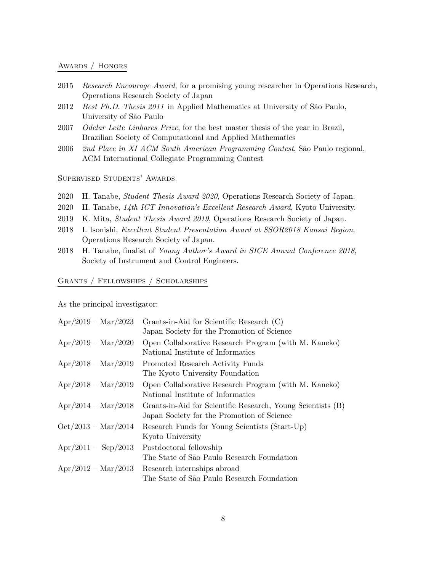#### Awards / Honors

- 2015 Research Encourage Award, for a promising young researcher in Operations Research, Operations Research Society of Japan
- 2012 Best Ph.D. Thesis 2011 in Applied Mathematics at University of São Paulo, University of São Paulo
- 2007 Odelar Leite Linhares Prize, for the best master thesis of the year in Brazil, Brazilian Society of Computational and Applied Mathematics
- 2006 2nd Place in XI ACM South American Programming Contest, São Paulo regional, ACM International Collegiate Programming Contest

## Supervised Students' Awards

- 2020 H. Tanabe, Student Thesis Award 2020, Operations Research Society of Japan.
- 2020 H. Tanabe, 14th ICT Innovation's Excellent Research Award, Kyoto University.
- 2019 K. Mita, Student Thesis Award 2019, Operations Research Society of Japan.
- 2018 I. Isonishi, Excellent Student Presentation Award at SSOR2018 Kansai Region, Operations Research Society of Japan.
- 2018 H. Tanabe, finalist of Young Author's Award in SICE Annual Conference 2018, Society of Instrument and Control Engineers.

## Grants / Fellowships / Scholarships

As the principal investigator:

| $Apr/2019 - Mar/2023$           | Grants-in-Aid for Scientific Research (C)<br>Japan Society for the Promotion of Science                   |
|---------------------------------|-----------------------------------------------------------------------------------------------------------|
| $Apr/2019 - Mar/2020$           | Open Collaborative Research Program (with M. Kaneko)<br>National Institute of Informatics                 |
| $Apr/2018 - Mar/2019$           | Promoted Research Activity Funds<br>The Kyoto University Foundation                                       |
| $\rm{Apr}/2018 - \rm{Mar}/2019$ | Open Collaborative Research Program (with M. Kaneko)<br>National Institute of Informatics                 |
| $\rm{Apr}/2014 - \rm{Mar}/2018$ | Grants-in-Aid for Scientific Research, Young Scientists (B)<br>Japan Society for the Promotion of Science |
| $Oct/2013 - Mar/2014$           | Research Funds for Young Scientists (Start-Up)<br>Kyoto University                                        |
| $\rm{Apr}/2011 - \rm{Sep}/2013$ | Postdoctoral fellowship<br>The State of São Paulo Research Foundation                                     |
| $\rm{Apr}/2012 - \rm{Mar}/2013$ | Research internships abroad<br>The State of São Paulo Research Foundation                                 |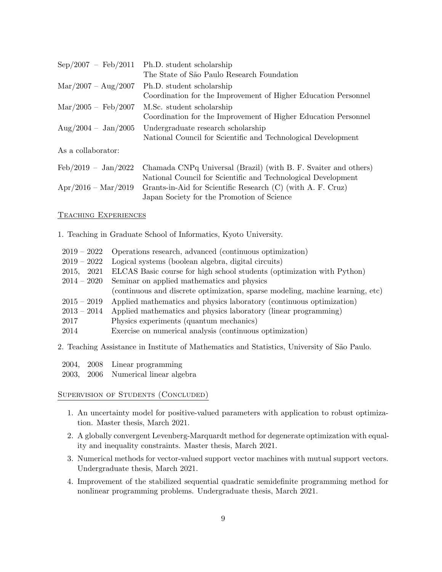| $Sep/2007 - Feb/2011$                | Ph.D. student scholarship                                       |
|--------------------------------------|-----------------------------------------------------------------|
|                                      | The State of São Paulo Research Foundation                      |
| $\text{Mar}/2007 - \text{Aug}/2007$  | Ph.D. student scholarship                                       |
|                                      | Coordination for the Improvement of Higher Education Personnel  |
| $\text{Mar}/2005 - \text{ Feb}/2007$ | M.Sc. student scholarship                                       |
|                                      | Coordination for the Improvement of Higher Education Personnel  |
| $\rm{Aug}/2004 - \rm{Jan}/2005$      | Undergraduate research scholarship                              |
|                                      | National Council for Scientific and Technological Development   |
| As a collaborator:                   |                                                                 |
| $\text{Feb}/2019 - \text{Jan}/2022$  | Chamada CNPq Universal (Brazil) (with B. F. Svaiter and others) |
|                                      | National Council for Scientific and Technological Development   |
| $Apr/2016 - Mar/2019$                | Grants-in-Aid for Scientific Research (C) (with A. F. Cruz)     |

Japan Society for the Promotion of Science

#### Teaching Experiences

1. Teaching in Graduate School of Informatics, Kyoto University.

| $2019 - 2022$ | Operations research, advanced (continuous optimization)                        |
|---------------|--------------------------------------------------------------------------------|
| $2019-2022$   | Logical systems (boolean algebra, digital circuits)                            |
| 2015, 2021    | ELCAS Basic course for high school students (optimization with Python)         |
| $2014 - 2020$ | Seminar on applied mathematics and physics                                     |
|               | (continuous and discrete optimization, sparse modeling, machine learning, etc) |
| $2015 - 2019$ | Applied mathematics and physics laboratory (continuous optimization)           |
| $2013 - 2014$ | Applied mathematics and physics laboratory (linear programming)                |
| 2017          | Physics experiments (quantum mechanics)                                        |
| 2014          | Exercise on numerical analysis (continuous optimization)                       |
|               |                                                                                |

2. Teaching Assistance in Institute of Mathematics and Statistics, University of S˜ao Paulo.

2004, 2008 Linear programming

2003, 2006 Numerical linear algebra

SUPERVISION OF STUDENTS (CONCLUDED)

- 1. An uncertainty model for positive-valued parameters with application to robust optimization. Master thesis, March 2021.
- 2. A globally convergent Levenberg-Marquardt method for degenerate optimization with equality and inequality constraints. Master thesis, March 2021.
- 3. Numerical methods for vector-valued support vector machines with mutual support vectors. Undergraduate thesis, March 2021.
- 4. Improvement of the stabilized sequential quadratic semidefinite programming method for nonlinear programming problems. Undergraduate thesis, March 2021.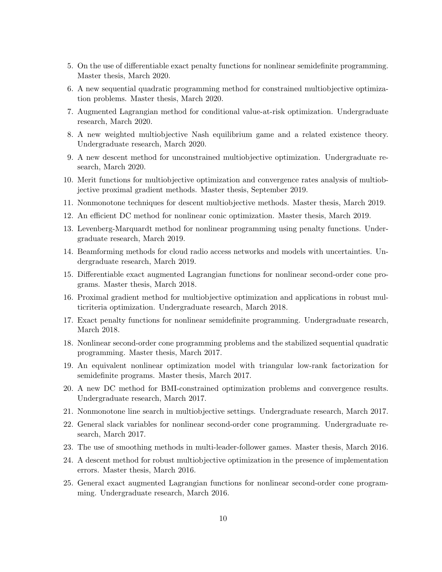- 5. On the use of differentiable exact penalty functions for nonlinear semidefinite programming. Master thesis, March 2020.
- 6. A new sequential quadratic programming method for constrained multiobjective optimization problems. Master thesis, March 2020.
- 7. Augmented Lagrangian method for conditional value-at-risk optimization. Undergraduate research, March 2020.
- 8. A new weighted multiobjective Nash equilibrium game and a related existence theory. Undergraduate research, March 2020.
- 9. A new descent method for unconstrained multiobjective optimization. Undergraduate research, March 2020.
- 10. Merit functions for multiobjective optimization and convergence rates analysis of multiobjective proximal gradient methods. Master thesis, September 2019.
- 11. Nonmonotone techniques for descent multiobjective methods. Master thesis, March 2019.
- 12. An efficient DC method for nonlinear conic optimization. Master thesis, March 2019.
- 13. Levenberg-Marquardt method for nonlinear programming using penalty functions. Undergraduate research, March 2019.
- 14. Beamforming methods for cloud radio access networks and models with uncertainties. Undergraduate research, March 2019.
- 15. Differentiable exact augmented Lagrangian functions for nonlinear second-order cone programs. Master thesis, March 2018.
- 16. Proximal gradient method for multiobjective optimization and applications in robust multicriteria optimization. Undergraduate research, March 2018.
- 17. Exact penalty functions for nonlinear semidefinite programming. Undergraduate research, March 2018.
- 18. Nonlinear second-order cone programming problems and the stabilized sequential quadratic programming. Master thesis, March 2017.
- 19. An equivalent nonlinear optimization model with triangular low-rank factorization for semidefinite programs. Master thesis, March 2017.
- 20. A new DC method for BMI-constrained optimization problems and convergence results. Undergraduate research, March 2017.
- 21. Nonmonotone line search in multiobjective settings. Undergraduate research, March 2017.
- 22. General slack variables for nonlinear second-order cone programming. Undergraduate research, March 2017.
- 23. The use of smoothing methods in multi-leader-follower games. Master thesis, March 2016.
- 24. A descent method for robust multiobjective optimization in the presence of implementation errors. Master thesis, March 2016.
- 25. General exact augmented Lagrangian functions for nonlinear second-order cone programming. Undergraduate research, March 2016.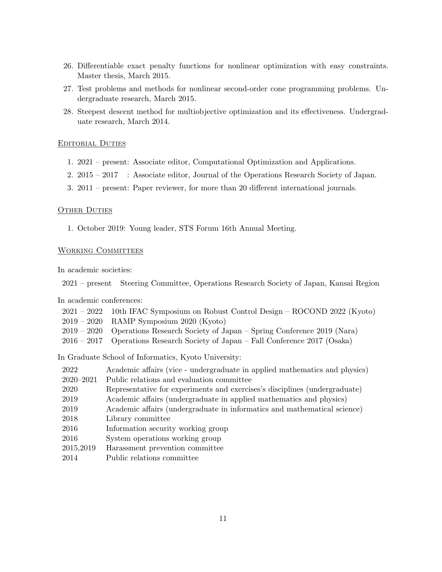- 26. Differentiable exact penalty functions for nonlinear optimization with easy constraints. Master thesis, March 2015.
- 27. Test problems and methods for nonlinear second-order cone programming problems. Undergraduate research, March 2015.
- 28. Steepest descent method for multiobjective optimization and its effectiveness. Undergraduate research, March 2014.

### Editorial Duties

- 1. 2021 present: Associate editor, Computational Optimization and Applications.
- 2. 2015 2017 : Associate editor, Journal of the Operations Research Society of Japan.
- 3. 2011 present: Paper reviewer, for more than 20 different international journals.

### **OTHER DUTIES**

1. October 2019: Young leader, STS Forum 16th Annual Meeting.

## WORKING COMMITTEES

In academic societies:

2021 – present Steering Committee, Operations Research Society of Japan, Kansai Region

In academic conferences:

| 2021 – 2022 – 10th IFAC Symposium on Robust Control Design – ROCOND 2022 (Kyoto)   |
|------------------------------------------------------------------------------------|
| $2019 - 2020$ RAMP Symposium 2020 (Kyoto)                                          |
| $2019 - 2020$ Operations Research Society of Japan – Spring Conference 2019 (Nara) |
| $2016 - 2017$ Operations Research Society of Japan – Fall Conference 2017 (Osaka)  |

In Graduate School of Informatics, Kyoto University:

| 2022          | Academic affairs (vice - undergraduate in applied mathematics and physics) |
|---------------|----------------------------------------------------------------------------|
| $2020 - 2021$ | Public relations and evaluation committee                                  |
| 2020          | Representative for experiments and exercises's disciplines (undergraduate) |
| 2019          | Academic affairs (undergraduate in applied mathematics and physics)        |
| 2019          | Academic affairs (undergraduate in informatics and mathematical science)   |
| 2018          | Library committee                                                          |
| 2016          | Information security working group                                         |
| 2016          | System operations working group                                            |
| 2015,2019     | Harassment prevention committee                                            |
| 2014          | Public relations committee                                                 |
|               |                                                                            |